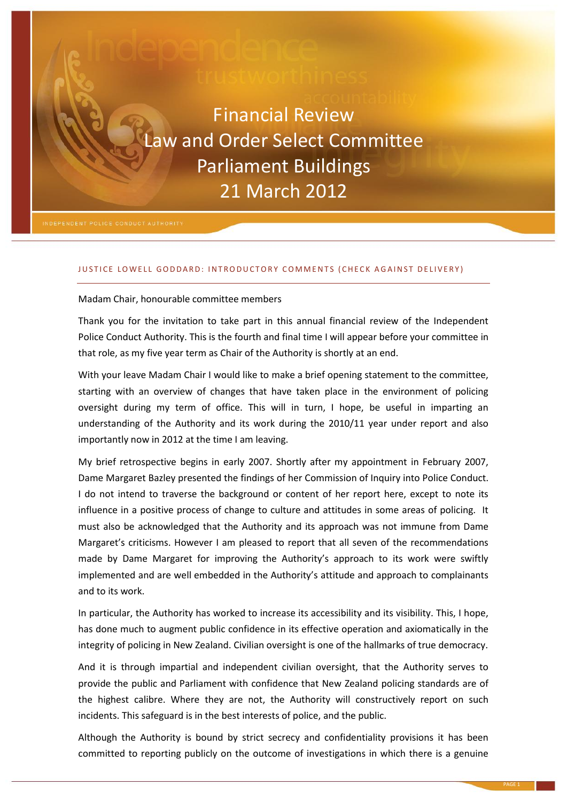# Financial Review Law and Order Select Committee Parliament Buildings 21 March 2012

### JUSTICE LOWELL GODDARD: INTRODUCTORY COMMENTS (CHECK AGAINST DELIVERY)

#### Madam Chair, honourable committee members

Thank you for the invitation to take part in this annual financial review of the Independent Police Conduct Authority. This is the fourth and final time I will appear before your committee in that role, as my five year term as Chair of the Authority is shortly at an end.

With your leave Madam Chair I would like to make a brief opening statement to the committee, starting with an overview of changes that have taken place in the environment of policing oversight during my term of office. This will in turn, I hope, be useful in imparting an understanding of the Authority and its work during the 2010/11 year under report and also importantly now in 2012 at the time I am leaving.

My brief retrospective begins in early 2007. Shortly after my appointment in February 2007, Dame Margaret Bazley presented the findings of her Commission of Inquiry into Police Conduct. I do not intend to traverse the background or content of her report here, except to note its influence in a positive process of change to culture and attitudes in some areas of policing. It must also be acknowledged that the Authority and its approach was not immune from Dame Margaret's criticisms. However I am pleased to report that all seven of the recommendations made by Dame Margaret for improving the Authority's approach to its work were swiftly implemented and are well embedded in the Authority's attitude and approach to complainants and to its work.

In particular, the Authority has worked to increase its accessibility and its visibility. This, I hope, has done much to augment public confidence in its effective operation and axiomatically in the integrity of policing in New Zealand. Civilian oversight is one of the hallmarks of true democracy.

And it is through impartial and independent civilian oversight, that the Authority serves to provide the public and Parliament with confidence that New Zealand policing standards are of the highest calibre. Where they are not, the Authority will constructively report on such incidents. This safeguard is in the best interests of police, and the public.

Although the Authority is bound by strict secrecy and confidentiality provisions it has been committed to reporting publicly on the outcome of investigations in which there is a genuine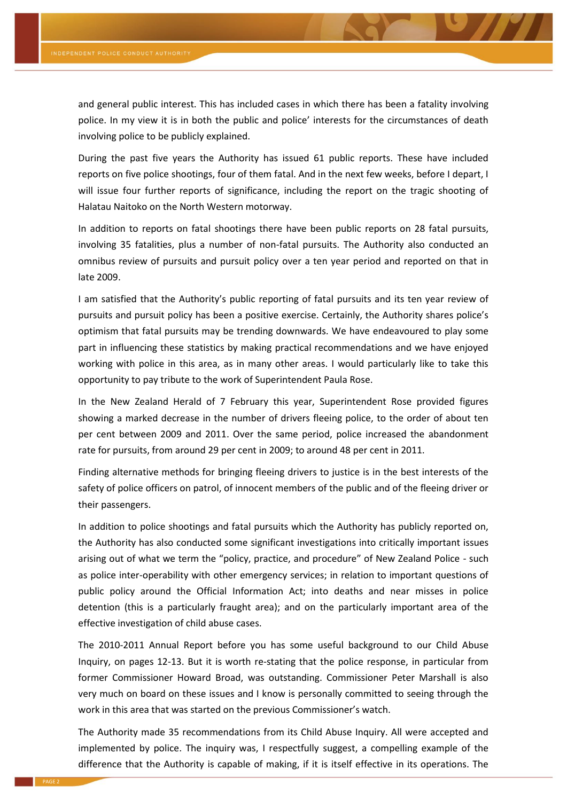and general public interest. This has included cases in which there has been a fatality involving police. In my view it is in both the public and police' interests for the circumstances of death involving police to be publicly explained.

During the past five years the Authority has issued 61 public reports. These have included reports on five police shootings, four of them fatal. And in the next few weeks, before I depart, I will issue four further reports of significance, including the report on the tragic shooting of Halatau Naitoko on the North Western motorway.

In addition to reports on fatal shootings there have been public reports on 28 fatal pursuits, involving 35 fatalities, plus a number of non-fatal pursuits. The Authority also conducted an omnibus review of pursuits and pursuit policy over a ten year period and reported on that in late 2009.

I am satisfied that the Authority's public reporting of fatal pursuits and its ten year review of pursuits and pursuit policy has been a positive exercise. Certainly, the Authority shares police's optimism that fatal pursuits may be trending downwards. We have endeavoured to play some part in influencing these statistics by making practical recommendations and we have enjoyed working with police in this area, as in many other areas. I would particularly like to take this opportunity to pay tribute to the work of Superintendent Paula Rose.

In the New Zealand Herald of 7 February this year, Superintendent Rose provided figures showing a marked decrease in the number of drivers fleeing police, to the order of about ten per cent between 2009 and 2011. Over the same period, police increased the abandonment rate for pursuits, from around 29 per cent in 2009; to around 48 per cent in 2011.

Finding alternative methods for bringing fleeing drivers to justice is in the best interests of the safety of police officers on patrol, of innocent members of the public and of the fleeing driver or their passengers.

In addition to police shootings and fatal pursuits which the Authority has publicly reported on, the Authority has also conducted some significant investigations into critically important issues arising out of what we term the "policy, practice, and procedure" of New Zealand Police - such as police inter-operability with other emergency services; in relation to important questions of public policy around the Official Information Act; into deaths and near misses in police detention (this is a particularly fraught area); and on the particularly important area of the effective investigation of child abuse cases.

The 2010-2011 Annual Report before you has some useful background to our Child Abuse Inquiry, on pages 12-13. But it is worth re-stating that the police response, in particular from former Commissioner Howard Broad, was outstanding. Commissioner Peter Marshall is also very much on board on these issues and I know is personally committed to seeing through the work in this area that was started on the previous Commissioner's watch.

The Authority made 35 recommendations from its Child Abuse Inquiry. All were accepted and implemented by police. The inquiry was, I respectfully suggest, a compelling example of the difference that the Authority is capable of making, if it is itself effective in its operations. The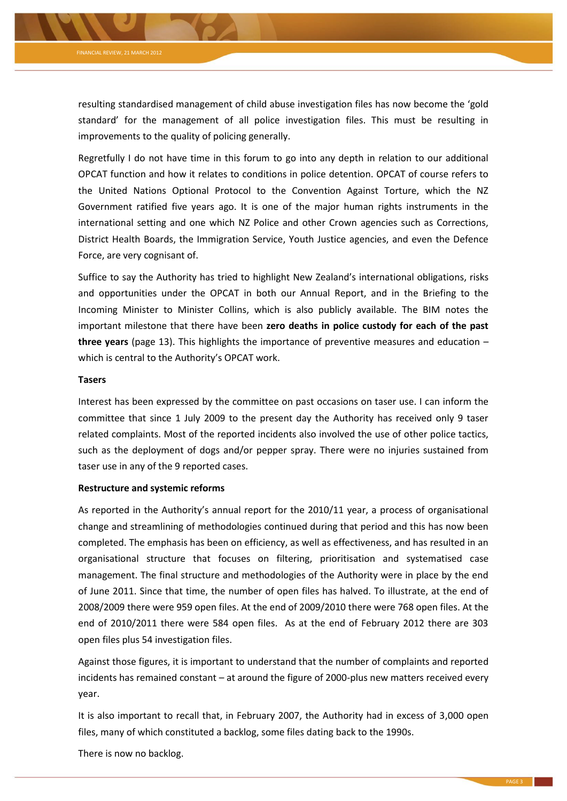

resulting standardised management of child abuse investigation files has now become the 'gold standard' for the management of all police investigation files. This must be resulting in improvements to the quality of policing generally.

Regretfully I do not have time in this forum to go into any depth in relation to our additional OPCAT function and how it relates to conditions in police detention. OPCAT of course refers to the United Nations Optional Protocol to the Convention Against Torture, which the NZ Government ratified five years ago. It is one of the major human rights instruments in the international setting and one which NZ Police and other Crown agencies such as Corrections, District Health Boards, the Immigration Service, Youth Justice agencies, and even the Defence Force, are very cognisant of.

Suffice to say the Authority has tried to highlight New Zealand's international obligations, risks and opportunities under the OPCAT in both our Annual Report, and in the Briefing to the Incoming Minister to Minister Collins, which is also publicly available. The BIM notes the important milestone that there have been **zero deaths in police custody for each of the past three years** (page 13). This highlights the importance of preventive measures and education – which is central to the Authority's OPCAT work.

### **Tasers**

Interest has been expressed by the committee on past occasions on taser use. I can inform the committee that since 1 July 2009 to the present day the Authority has received only 9 taser related complaints. Most of the reported incidents also involved the use of other police tactics, such as the deployment of dogs and/or pepper spray. There were no injuries sustained from taser use in any of the 9 reported cases.

## **Restructure and systemic reforms**

As reported in the Authority's annual report for the 2010/11 year, a process of organisational change and streamlining of methodologies continued during that period and this has now been completed. The emphasis has been on efficiency, as well as effectiveness, and has resulted in an organisational structure that focuses on filtering, prioritisation and systematised case management. The final structure and methodologies of the Authority were in place by the end of June 2011. Since that time, the number of open files has halved. To illustrate, at the end of 2008/2009 there were 959 open files. At the end of 2009/2010 there were 768 open files. At the end of 2010/2011 there were 584 open files. As at the end of February 2012 there are 303 open files plus 54 investigation files.

Against those figures, it is important to understand that the number of complaints and reported incidents has remained constant – at around the figure of 2000-plus new matters received every year.

It is also important to recall that, in February 2007, the Authority had in excess of 3,000 open files, many of which constituted a backlog, some files dating back to the 1990s.

There is now no backlog.